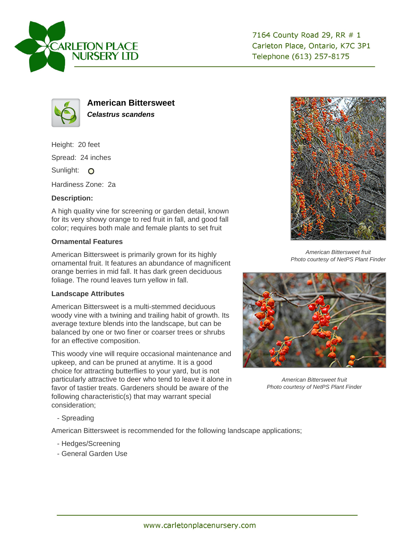

7164 County Road 29, RR # 1 Carleton Place, Ontario, K7C 3P1 Telephone (613) 257-8175



**American Bittersweet Celastrus scandens**

Height: 20 feet Spread: 24 inches Sunlight: O

Hardiness Zone: 2a

## **Description:**

A high quality vine for screening or garden detail, known for its very showy orange to red fruit in fall, and good fall color; requires both male and female plants to set fruit

## **Ornamental Features**

American Bittersweet is primarily grown for its highly ornamental fruit. It features an abundance of magnificent orange berries in mid fall. It has dark green deciduous foliage. The round leaves turn yellow in fall.

## **Landscape Attributes**

American Bittersweet is a multi-stemmed deciduous woody vine with a twining and trailing habit of growth. Its average texture blends into the landscape, but can be balanced by one or two finer or coarser trees or shrubs for an effective composition.

This woody vine will require occasional maintenance and upkeep, and can be pruned at anytime. It is a good choice for attracting butterflies to your yard, but is not particularly attractive to deer who tend to leave it alone in favor of tastier treats. Gardeners should be aware of the following characteristic(s) that may warrant special consideration;



American Bittersweet fruit Photo courtesy of NetPS Plant Finder



American Bittersweet fruit Photo courtesy of NetPS Plant Finder

- Spreading

American Bittersweet is recommended for the following landscape applications;

- Hedges/Screening
- General Garden Use